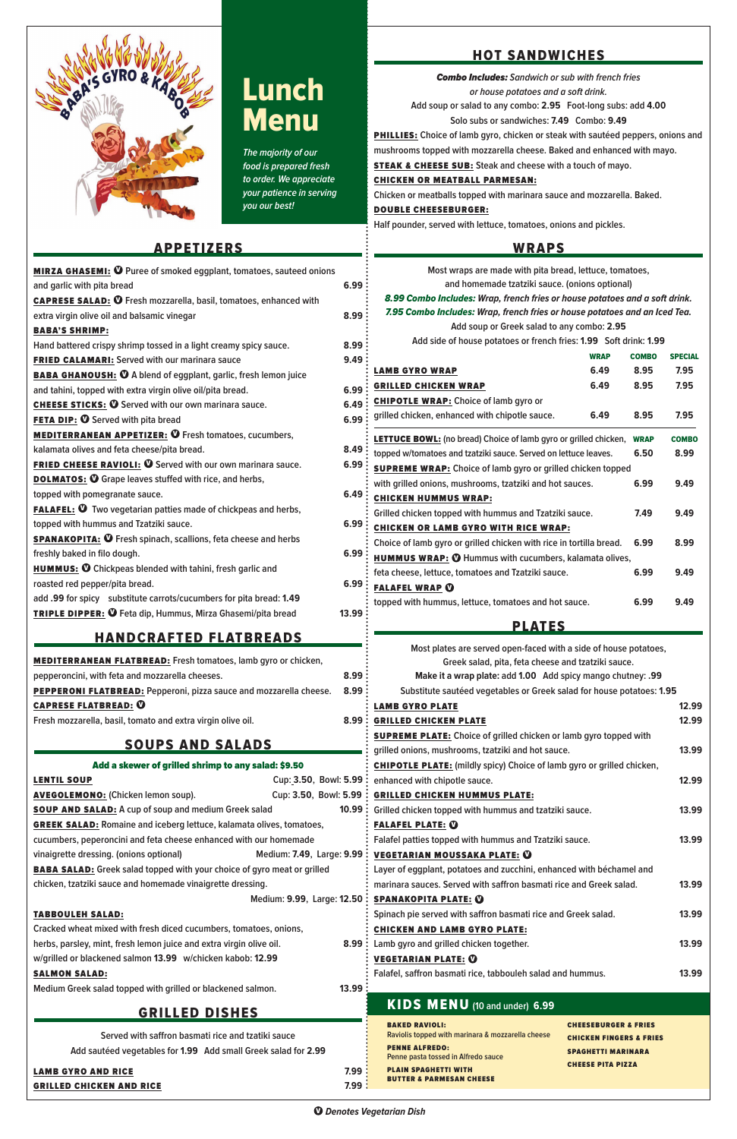

# Lunch **Menu**

**The majority of our food is prepared fresh to order. We appreciate your patience in serving you our best!**

# **APPETIZERS**

| <b>MIRZA GHASEMI: <sup>1</sup></b> Puree of smoked eggplant, tomatoes, sauteed onions |                   |  |  |  |  |
|---------------------------------------------------------------------------------------|-------------------|--|--|--|--|
| and garlic with pita bread                                                            |                   |  |  |  |  |
| 6.99<br><b>CAPRESE SALAD: ①</b> Fresh mozzarella, basil, tomatoes, enhanced with      |                   |  |  |  |  |
| extra virgin olive oil and balsamic vinegar                                           |                   |  |  |  |  |
| <b>BABA'S SHRIMP:</b>                                                                 |                   |  |  |  |  |
| Hand battered crispy shrimp tossed in a light creamy spicy sauce.<br>8.99             |                   |  |  |  |  |
| FRIED CALAMARI: Served with our marinara sauce                                        |                   |  |  |  |  |
| <b>BABA GHANOUSH: O</b> A blend of eggplant, garlic, fresh lemon juice                |                   |  |  |  |  |
| and tahini, topped with extra virgin olive oil/pita bread.                            | 6.99              |  |  |  |  |
| <b>CHEESE STICKS: O</b> Served with our own marinara sauce.                           | 6.49              |  |  |  |  |
| <b>FETA DIP: O Served with pita bread</b>                                             | 6.99              |  |  |  |  |
| <b>MEDITERRANEAN APPETIZER: O Fresh tomatoes, cucumbers,</b>                          |                   |  |  |  |  |
| kalamata olives and feta cheese/pita bread.                                           | 8.49              |  |  |  |  |
| <b>FRIED CHEESE RAVIOLI: ①</b> Served with our own marinara sauce.                    | 6.99              |  |  |  |  |
| <b>DOLMATOS: O</b> Grape leaves stuffed with rice, and herbs,                         |                   |  |  |  |  |
| topped with pomegranate sauce.                                                        | 6.49              |  |  |  |  |
| FALAFEL: <sup>1</sup> Two vegetarian patties made of chickpeas and herbs,             |                   |  |  |  |  |
| topped with hummus and Tzatziki sauce.                                                | 6.99              |  |  |  |  |
| <b>SPANAKOPITA: ①</b> Fresh spinach, scallions, feta cheese and herbs                 |                   |  |  |  |  |
| freshly baked in filo dough.                                                          | 6.99              |  |  |  |  |
| <b>HUMMUS: O</b> Chickpeas blended with tahini, fresh garlic and                      |                   |  |  |  |  |
| roasted red pepper/pita bread.                                                        | 6.99              |  |  |  |  |
| add .99 for spicy substitute carrots/cucumbers for pita bread: 1.49                   |                   |  |  |  |  |
| <b>TRIPLE DIPPER: O</b> Feta dip, Hummus, Mirza Ghasemi/pita bread                    | 13.99             |  |  |  |  |
| <u>HANDCRAFTED FLATBREADS</u>                                                         |                   |  |  |  |  |
| <b>MEDITERRANEAN FLATBREAD:</b> Fresh tomatoes, lamb gyro or chicken,                 |                   |  |  |  |  |
| pepperoncini, with feta and mozzarella cheeses.                                       | 8.99              |  |  |  |  |
| PEPPERONI FLATBREAD: Pepperoni, pizza sauce and mozzarella cheese.                    | 8.99 <sup>3</sup> |  |  |  |  |
| <b>CAPRESE FLATBREAD: 0</b>                                                           |                   |  |  |  |  |
| Fresh mozzarella, basil, tomato and extra virgin olive oil.                           | 8.99              |  |  |  |  |
| <b>SOUPS AND SALADS</b>                                                               |                   |  |  |  |  |
| Add a skewer of grilled shrimp to any salad: \$9.50                                   |                   |  |  |  |  |
| Cup: 3.50, Bowl: 5.99<br><b>LENTIL SOUP</b>                                           |                   |  |  |  |  |
| <b>AVEGOLEMONO:</b> (Chicken lemon soup).<br>Cup: 3.50, Bowl: 5.99 :                  |                   |  |  |  |  |

| <b>GRILLED CHICKEN AND RICE</b>                                                | 7.99:  | <b>BUTTER &amp; PARMESAN CHEESE</b>                                                                                                                 |       |
|--------------------------------------------------------------------------------|--------|-----------------------------------------------------------------------------------------------------------------------------------------------------|-------|
| <b>LAMB GYRO AND RICE</b>                                                      | 7.99:  | <b>CHEESE PITA PIZZA</b><br><b>PLAIN SPAGHETTI WITH</b>                                                                                             |       |
| Add sautéed vegetables for 1.99 Add small Greek salad for 2.99                 |        | <b>PENNE ALFREDO:</b><br><b>SPAGHETTI MARINARA</b><br>Penne pasta tossed in Alfredo sauce                                                           |       |
| Served with saffron basmati rice and tzatiki sauce                             |        | <b>BAKED RAVIOLI:</b><br><b>CHEESEBURGER &amp; FRIES</b><br>Raviolis topped with marinara & mozzarella cheese<br><b>CHICKEN FINGERS &amp; FRIES</b> |       |
| <b>GRILLED DISHES</b>                                                          |        | KIDS MENU (10 and under) 6.99                                                                                                                       |       |
| Medium Greek salad topped with grilled or blackened salmon.                    | 13.99: |                                                                                                                                                     |       |
| <b>SALMON SALAD:</b>                                                           |        | Falafel, saffron basmati rice, tabbouleh salad and hummus.                                                                                          | 13.99 |
| w/grilled or blackened salmon 13.99 w/chicken kabob: 12.99                     |        | <b>VEGETARIAN PLATE: 0</b>                                                                                                                          |       |
| herbs, parsley, mint, fresh lemon juice and extra virgin olive oil.            |        | 8.99 : Lamb gyro and grilled chicken together.                                                                                                      | 13.99 |
| Cracked wheat mixed with fresh diced cucumbers, tomatoes, onions,              |        | <b>CHICKEN AND LAMB GYRO PLATE:</b>                                                                                                                 |       |
| <b>TABBOULEH SALAD:</b>                                                        |        | Spinach pie served with saffron basmati rice and Greek salad.                                                                                       | 13.99 |
| Medium: 9.99, Large: 12.50: SPANAKOPITA PLATE: 0                               |        |                                                                                                                                                     |       |
| chicken, tzatziki sauce and homemade vinaigrette dressing.                     |        | marinara sauces. Served with saffron basmati rice and Greek salad.                                                                                  |       |
| <b>BABA SALAD:</b> Greek salad topped with your choice of gyro meat or grilled |        | Layer of eggplant, potatoes and zucchini, enhanced with béchamel and                                                                                |       |
| vinaigrette dressing. (onions optional)                                        |        | Medium: 7.49, Large: 9.99 : VEGETARIAN MOUSSAKA PLATE: 0                                                                                            |       |
| cucumbers, peperoncini and feta cheese enhanced with our homemade              |        | Falafel patties topped with hummus and Tzatziki sauce.                                                                                              | 13.99 |

 $\Phi$  **Denotes Vegetarian Dish** 

# HOT SANDWICHES

Combo Includes: **Sandwich or sub with french fries or house potatoes and a soft drink.**

**Add soup or salad to any combo: 2.95 Foot-long subs: add 4.00**

**Solo subs or sandwiches: 7.49 Combo: 9.49**

PHILLIES: **Choice of lamb gyro, chicken or steak with sautéed peppers, onions and mushrooms topped with mozzarella cheese. Baked and enhanced with mayo.**

STEAK & CHEESE SUB: **Steak and cheese with a touch of mayo.**

#### CHICKEN OR MEATBALL PARMESAN:

**Chicken or meatballs topped with marinara sauce and mozzarella. Baked.**

#### DOUBLE CHEESEBURGER:

**Half pounder, served with lettuce, tomatoes, onions and pickles.**

## WRAPS

| IIAND VRAI I ED I EAI DREADY                                                |  |       |                                                                               |       |
|-----------------------------------------------------------------------------|--|-------|-------------------------------------------------------------------------------|-------|
|                                                                             |  |       | Most plates are served open-faced with a side of house potatoes,              |       |
| <b>MEDITERRANEAN FLATBREAD:</b> Fresh tomatoes, lamb gyro or chicken,       |  |       | Greek salad, pita, feta cheese and tzatziki sauce.                            |       |
| pepperoncini, with feta and mozzarella cheeses.                             |  | 8.99: | Make it a wrap plate: add 1.00 Add spicy mango chutney: .99                   |       |
| PEPPERONI FLATBREAD: Pepperoni, pizza sauce and mozzarella cheese.          |  | 8.99: | Substitute sautéed vegetables or Greek salad for house potatoes: 1.95         |       |
| <b>CAPRESE FLATBREAD: 0</b>                                                 |  |       | <b>LAMB GYRO PLATE</b>                                                        | 12.99 |
| Fresh mozzarella, basil, tomato and extra virgin olive oil.                 |  |       | <b>8.99: GRILLED CHICKEN PLATE</b>                                            | 12.99 |
|                                                                             |  |       | <b>SUPREME PLATE:</b> Choice of grilled chicken or lamb gyro topped with      |       |
| <b>SOUPS AND SALADS</b>                                                     |  |       | grilled onions, mushrooms, tzatziki and hot sauce.                            | 13.99 |
| Add a skewer of grilled shrimp to any salad: \$9.50                         |  |       | <b>CHIPOTLE PLATE:</b> (mildly spicy) Choice of lamb gyro or grilled chicken, |       |
| <b>LENTIL SOUP</b>                                                          |  |       | Cup: 3.50, Bowl: 5.99: enhanced with chipotle sauce.                          | 12.99 |
| <b>AVEGOLEMONO:</b> (Chicken lemon soup).                                   |  |       | Cup: 3.50, Bowl: 5.99 : GRILLED CHICKEN HUMMUS PLATE:                         |       |
| <b>SOUP AND SALAD:</b> A cup of soup and medium Greek salad                 |  |       | 10.99 : Grilled chicken topped with hummus and tzatziki sauce.                | 13.99 |
| <b>GREEK SALAD:</b> Romaine and iceberg lettuce, kalamata olives, tomatoes, |  |       | <b>FALAFEL PLATE: 0</b>                                                       |       |
|                                                                             |  |       |                                                                               |       |

| Most wraps are made with pita bread, lettuce, tomatoes,<br>and homemade tzatziki sauce. (onions optional) |             |              |                |
|-----------------------------------------------------------------------------------------------------------|-------------|--------------|----------------|
| 8.99 Combo Includes: Wrap, french fries or house potatoes and a soft drink.                               |             |              |                |
| 7.95 Combo Includes: Wrap, french fries or house potatoes and an Iced Tea.                                |             |              |                |
| Add soup or Greek salad to any combo: 2.95                                                                |             |              |                |
| Add side of house potatoes or french fries: 1.99 Soft drink: 1.99                                         |             |              |                |
|                                                                                                           | <b>WRAP</b> | <b>COMBO</b> | <b>SPECIAL</b> |
|                                                                                                           |             |              |                |
| <b>LAMB GYRO WRAP</b>                                                                                     | 6.49        | 8.95         | 7.95           |
| <b>GRILLED CHICKEN WRAP</b>                                                                               | 6.49        | 8.95         | 7.95           |
| <b>CHIPOTLE WRAP:</b> Choice of lamb gyro or                                                              |             |              |                |
| grilled chicken, enhanced with chipotle sauce.                                                            | 6.49        | 8.95         | 7.95           |
| <b>LETTUCE BOWL:</b> (no bread) Choice of lamb gyro or grilled chicken,                                   |             | <b>WRAP</b>  | <b>COMBO</b>   |
| topped w/tomatoes and tzatziki sauce. Served on lettuce leaves.                                           |             |              | 8.99           |
| <b>SUPREME WRAP:</b> Choice of lamb gyro or grilled chicken topped                                        |             |              |                |
| with grilled onions, mushrooms, tzatziki and hot sauces.<br>6.99                                          |             |              | 9.49           |
| <b>CHICKEN HUMMUS WRAP:</b>                                                                               |             |              |                |
| Grilled chicken topped with hummus and Tzatziki sauce.                                                    |             |              | 9.49           |
| <b>CHICKEN OR LAMB GYRO WITH RICE WRAP:</b>                                                               |             |              |                |
| Choice of lamb gyro or grilled chicken with rice in tortilla bread.                                       |             |              | 8.99           |
| <b>HUMMUS WRAP: 10 Hummus with cucumbers, kalamata olives,</b>                                            |             |              |                |
| 6.99<br>feta cheese, lettuce, tomatoes and Tzatziki sauce.                                                |             |              | 9.49           |
| <b>FALAFEL WRAP O</b>                                                                                     |             |              |                |
| topped with hummus, lettuce, tomatoes and hot sauce.                                                      |             | 6.99         | 9.49           |
| RI ATF <i>e</i>                                                                                           |             |              |                |

#### <u>Plaies</u>